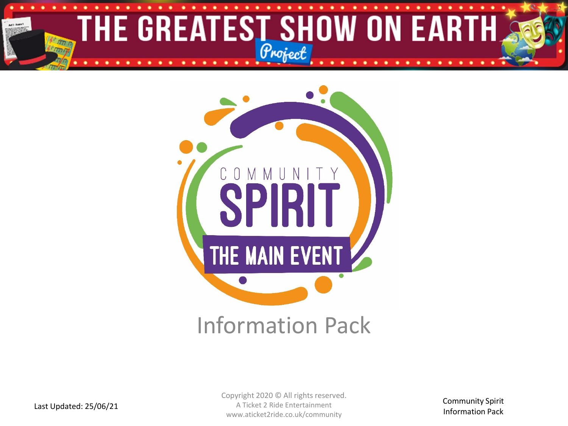



### Information Pack

Copyright 2020 © All rights reserved. A Ticket 2 Ride Entertainment www.aticket2ride.co.uk/community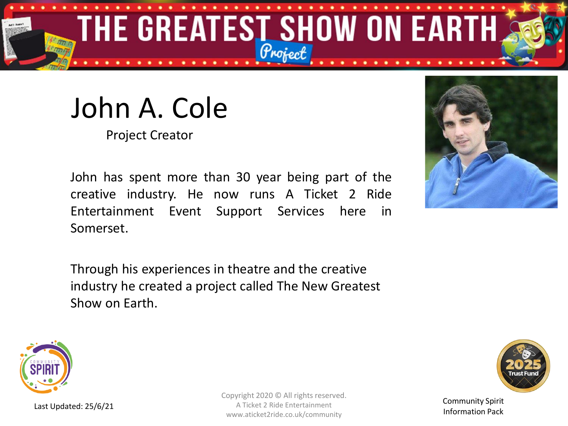

# John A. Cole

Project Creator

John has spent more than 30 year being part of the creative industry. He now runs A Ticket 2 Ride Entertainment Event Support Services here in Somerset.

Through his experiences in theatre and the creative industry he created a project called The New Greatest Show on Earth.





Last Updated: 25/6/21

Copyright 2020 © All rights reserved. A Ticket 2 Ride Entertainment www.aticket2ride.co.uk/community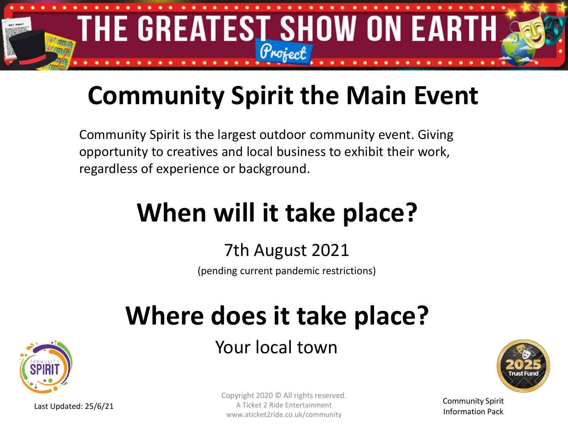

## **Community Spirit the Main Event**

Community Spirit is the largest outdoor community event. Giving opportunity to creatives and local business to exhibit their work, regardless of experience or background.

# **When will it take place?**

### 7th August 2021

(pending current pandemic restrictions)

# **Where does it take place?**

Your local town





Community Spirit Information Pack

Last Updated: 25/6/21

Copyright 2020 © All rights reserved. A Ticket 2 Ride Entertainment www.aticket2ride.co.uk/community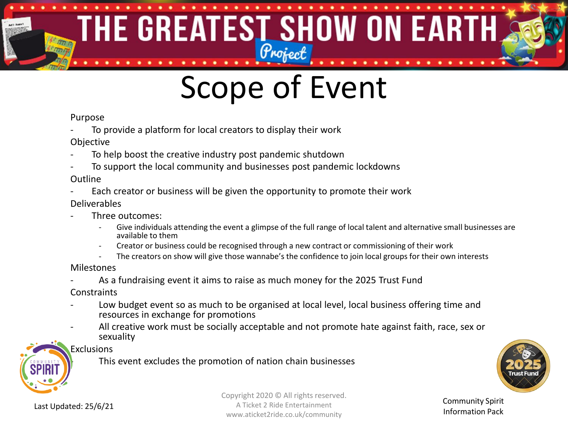### THE GREATEST SHOW ON EARTH 有限的

# Scope of Event

#### Purpose

- To provide a platform for local creators to display their work
- Objective
- To help boost the creative industry post pandemic shutdown
- To support the local community and businesses post pandemic lockdowns

#### Outline

Each creator or business will be given the opportunity to promote their work

#### Deliverables

- Three outcomes:
	- Give individuals attending the event a glimpse of the full range of local talent and alternative small businesses are available to them
	- Creator or business could be recognised through a new contract or commissioning of their work
	- The creators on show will give those wannabe's the confidence to join local groups for their own interests

#### Milestones

As a fundraising event it aims to raise as much money for the 2025 Trust Fund

**Constraints** 

- Low budget event so as much to be organised at local level, local business offering time and resources in exchange for promotions
- All creative work must be socially acceptable and not promote hate against faith, race, sex or sexuality



#### Exclusions

This event excludes the promotion of nation chain businesses



Last Updated: 25/6/21

Copyright 2020 © All rights reserved. A Ticket 2 Ride Entertainment www.aticket2ride.co.uk/community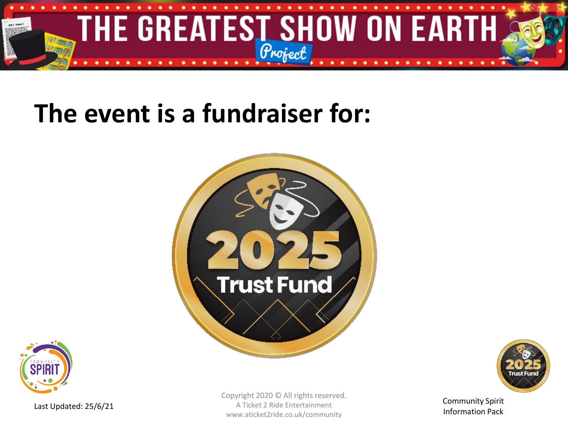

### **The event is a fundraiser for:**







Last Updated: 25/6/21

Copyright 2020 © All rights reserved. A Ticket 2 Ride Entertainment www.aticket2ride.co.uk/community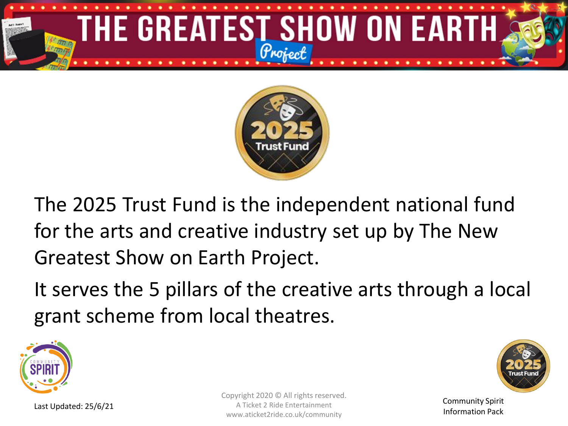



The 2025 Trust Fund is the independent national fund for the arts and creative industry set up by The New Greatest Show on Earth Project.

It serves the 5 pillars of the creative arts through a local grant scheme from local theatres.





Community Spirit Information Pack

Copyright 2020 © All rights reserved. A Ticket 2 Ride Entertainment www.aticket2ride.co.uk/community

Last Updated: 25/6/21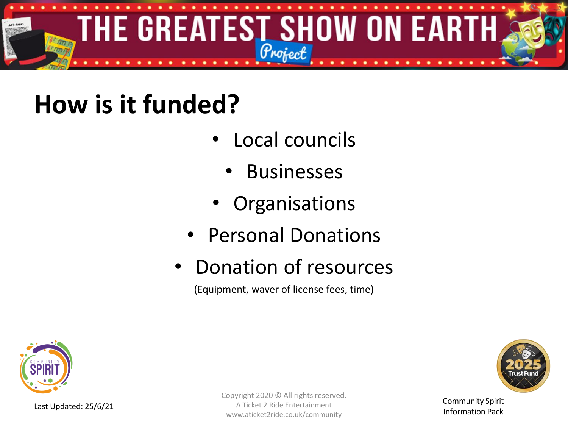

## **How is it funded?**

- Local councils
	- **Businesses**
- **Organisations**
- Personal Donations
- Donation of resources

(Equipment, waver of license fees, time)



Last Updated: 25/6/21

Copyright 2020 © All rights reserved. A Ticket 2 Ride Entertainment www.aticket2ride.co.uk/community